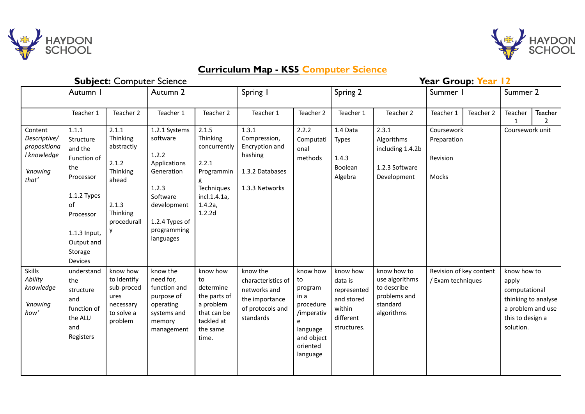



## **Curriculum Map - KS5 Computer Science**

| <b>Subject: Computer Science</b>                                            |                                                                                                                                                        |                                                                                                   |                                                                                                                                                    |                                                                                                             |                                                                                                   |                                                                                                                |                                                                                        | Year Group: Year 12                                                                    |                                                |           |                                                                                                                    |                           |  |
|-----------------------------------------------------------------------------|--------------------------------------------------------------------------------------------------------------------------------------------------------|---------------------------------------------------------------------------------------------------|----------------------------------------------------------------------------------------------------------------------------------------------------|-------------------------------------------------------------------------------------------------------------|---------------------------------------------------------------------------------------------------|----------------------------------------------------------------------------------------------------------------|----------------------------------------------------------------------------------------|----------------------------------------------------------------------------------------|------------------------------------------------|-----------|--------------------------------------------------------------------------------------------------------------------|---------------------------|--|
|                                                                             | Autumn I                                                                                                                                               |                                                                                                   | Autumn 2                                                                                                                                           |                                                                                                             | Spring I                                                                                          |                                                                                                                | Spring 2                                                                               |                                                                                        | Summer I                                       |           | Summer 2                                                                                                           |                           |  |
|                                                                             | Teacher 1                                                                                                                                              | Teacher 2                                                                                         | Teacher 1                                                                                                                                          | Teacher 2                                                                                                   | Teacher 1                                                                                         | Teacher 2                                                                                                      | Teacher 1                                                                              | Teacher 2                                                                              | Teacher 1                                      | Teacher 2 | Teacher<br>1                                                                                                       | Teacher<br>$\overline{2}$ |  |
| Content<br>Descriptive/<br>propositiona<br>I knowledge<br>'knowing<br>that' | 1.1.1<br>Structure<br>and the<br>Function of<br>the<br>Processor<br>1.1.2 Types<br>of<br>Processor<br>1.1.3 Input,<br>Output and<br>Storage<br>Devices | 2.1.1<br>Thinking<br>abstractly<br>2.1.2<br>Thinking<br>ahead<br>2.1.3<br>Thinking<br>procedurall | 1.2.1 Systems<br>software<br>1.2.2<br>Applications<br>Generation<br>1.2.3<br>Software<br>development<br>1.2.4 Types of<br>programming<br>languages | 2.1.5<br>Thinking<br>concurrently<br>2.2.1<br>Programmin<br>Techniques<br>incl.1.4.1a,<br>1.4.2a,<br>1.2.2d | 1.3.1<br>Compression,<br>Encryption and<br>hashing<br>1.3.2 Databases<br>1.3.3 Networks           | 2.2.2<br>Computati<br>onal<br>methods                                                                          | 1.4 Data<br><b>Types</b><br>1.4.3<br>Boolean<br>Algebra                                | 2.3.1<br>Algorithms<br>including 1.4.2b<br>1.2.3 Software<br>Development               | Coursework<br>Preparation<br>Revision<br>Mocks |           | Coursework unit                                                                                                    |                           |  |
| <b>Skills</b><br>Ability<br>knowledge<br>'knowing<br>how'                   | understand<br>the<br>structure<br>and<br>function of<br>the ALU<br>and<br>Registers                                                                    | know how<br>to Identify<br>sub-proced<br>ures<br>necessary<br>to solve a<br>problem               | know the<br>need for,<br>function and<br>purpose of<br>operating<br>systems and<br>memory<br>management                                            | know how<br>to<br>determine<br>the parts of<br>a problem<br>that can be<br>tackled at<br>the same<br>time.  | know the<br>characteristics of<br>networks and<br>the importance<br>of protocols and<br>standards | know how<br>to<br>program<br>in a<br>procedure<br>/imperativ<br>language<br>and object<br>oriented<br>language | know how<br>data is<br>represented<br>and stored<br>within<br>different<br>structures. | know how to<br>use algorithms<br>to describe<br>problems and<br>standard<br>algorithms | Revision of key content<br>/ Exam techniques   |           | know how to<br>apply<br>computational<br>thinking to analyse<br>a problem and use<br>this to design a<br>solution. |                           |  |